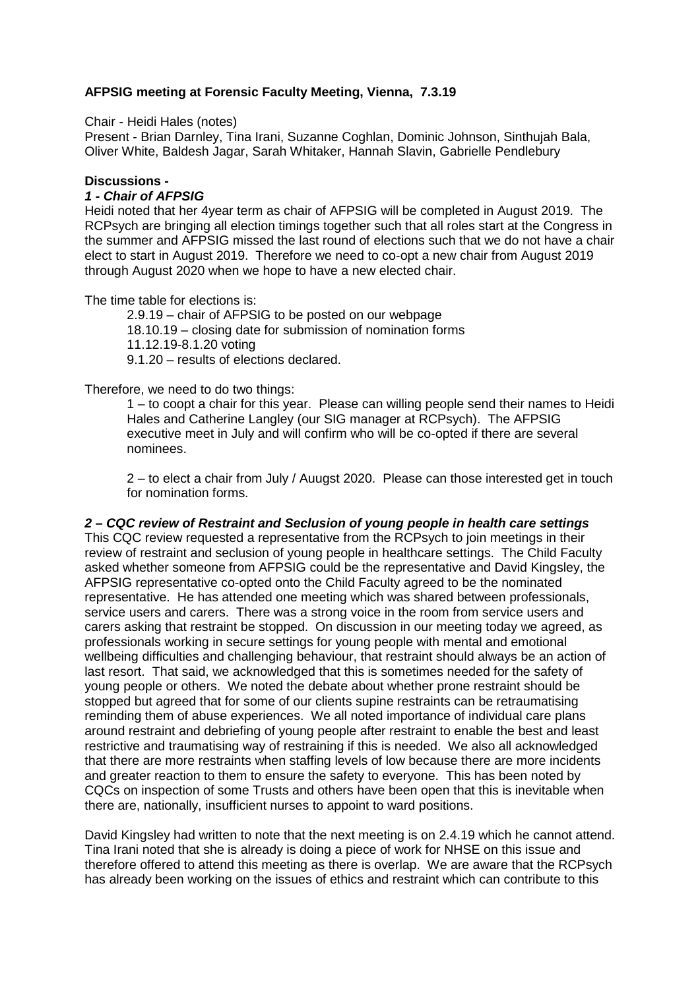# **AFPSIG meeting at Forensic Faculty Meeting, Vienna, 7.3.19**

#### Chair - Heidi Hales (notes)

Present - Brian Darnley, Tina Irani, Suzanne Coghlan, Dominic Johnson, Sinthujah Bala, Oliver White, Baldesh Jagar, Sarah Whitaker, Hannah Slavin, Gabrielle Pendlebury

### **Discussions -**

### *1 - Chair of AFPSIG*

Heidi noted that her 4year term as chair of AFPSIG will be completed in August 2019. The RCPsych are bringing all election timings together such that all roles start at the Congress in the summer and AFPSIG missed the last round of elections such that we do not have a chair elect to start in August 2019. Therefore we need to co-opt a new chair from August 2019 through August 2020 when we hope to have a new elected chair.

The time table for elections is:

2.9.19 – chair of AFPSIG to be posted on our webpage

18.10.19 – closing date for submission of nomination forms

11.12.19-8.1.20 voting

9.1.20 – results of elections declared.

Therefore, we need to do two things:

1 – to coopt a chair for this year. Please can willing people send their names to Heidi Hales and Catherine Langley (our SIG manager at RCPsych). The AFPSIG executive meet in July and will confirm who will be co-opted if there are several nominees.

2 – to elect a chair from July / Auugst 2020. Please can those interested get in touch for nomination forms.

# *2 – CQC review of Restraint and Seclusion of young people in health care settings*

This CQC review requested a representative from the RCPsych to join meetings in their review of restraint and seclusion of young people in healthcare settings. The Child Faculty asked whether someone from AFPSIG could be the representative and David Kingsley, the AFPSIG representative co-opted onto the Child Faculty agreed to be the nominated representative. He has attended one meeting which was shared between professionals, service users and carers. There was a strong voice in the room from service users and carers asking that restraint be stopped. On discussion in our meeting today we agreed, as professionals working in secure settings for young people with mental and emotional wellbeing difficulties and challenging behaviour, that restraint should always be an action of last resort. That said, we acknowledged that this is sometimes needed for the safety of young people or others. We noted the debate about whether prone restraint should be stopped but agreed that for some of our clients supine restraints can be retraumatising reminding them of abuse experiences. We all noted importance of individual care plans around restraint and debriefing of young people after restraint to enable the best and least restrictive and traumatising way of restraining if this is needed. We also all acknowledged that there are more restraints when staffing levels of low because there are more incidents and greater reaction to them to ensure the safety to everyone. This has been noted by CQCs on inspection of some Trusts and others have been open that this is inevitable when there are, nationally, insufficient nurses to appoint to ward positions.

David Kingsley had written to note that the next meeting is on 2.4.19 which he cannot attend. Tina Irani noted that she is already is doing a piece of work for NHSE on this issue and therefore offered to attend this meeting as there is overlap. We are aware that the RCPsych has already been working on the issues of ethics and restraint which can contribute to this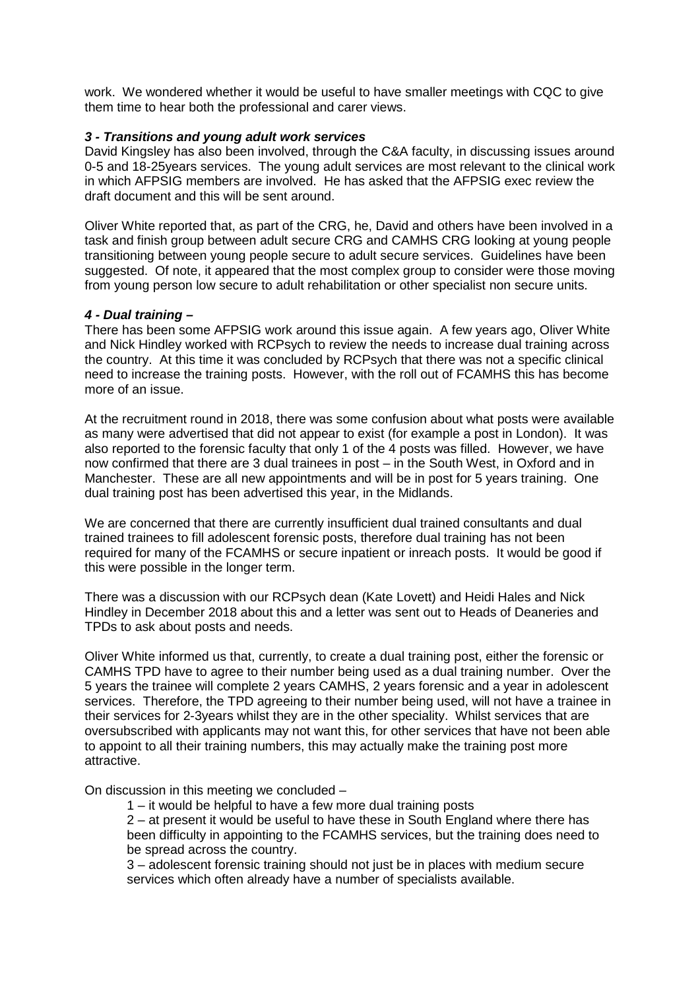work. We wondered whether it would be useful to have smaller meetings with CQC to give them time to hear both the professional and carer views.

# *3 - Transitions and young adult work services*

David Kingsley has also been involved, through the C&A faculty, in discussing issues around 0-5 and 18-25years services. The young adult services are most relevant to the clinical work in which AFPSIG members are involved. He has asked that the AFPSIG exec review the draft document and this will be sent around.

Oliver White reported that, as part of the CRG, he, David and others have been involved in a task and finish group between adult secure CRG and CAMHS CRG looking at young people transitioning between young people secure to adult secure services. Guidelines have been suggested. Of note, it appeared that the most complex group to consider were those moving from young person low secure to adult rehabilitation or other specialist non secure units.

#### *4 - Dual training –*

There has been some AFPSIG work around this issue again. A few years ago, Oliver White and Nick Hindley worked with RCPsych to review the needs to increase dual training across the country. At this time it was concluded by RCPsych that there was not a specific clinical need to increase the training posts. However, with the roll out of FCAMHS this has become more of an issue.

At the recruitment round in 2018, there was some confusion about what posts were available as many were advertised that did not appear to exist (for example a post in London). It was also reported to the forensic faculty that only 1 of the 4 posts was filled. However, we have now confirmed that there are 3 dual trainees in post – in the South West, in Oxford and in Manchester. These are all new appointments and will be in post for 5 years training. One dual training post has been advertised this year, in the Midlands.

We are concerned that there are currently insufficient dual trained consultants and dual trained trainees to fill adolescent forensic posts, therefore dual training has not been required for many of the FCAMHS or secure inpatient or inreach posts. It would be good if this were possible in the longer term.

There was a discussion with our RCPsych dean (Kate Lovett) and Heidi Hales and Nick Hindley in December 2018 about this and a letter was sent out to Heads of Deaneries and TPDs to ask about posts and needs.

Oliver White informed us that, currently, to create a dual training post, either the forensic or CAMHS TPD have to agree to their number being used as a dual training number. Over the 5 years the trainee will complete 2 years CAMHS, 2 years forensic and a year in adolescent services. Therefore, the TPD agreeing to their number being used, will not have a trainee in their services for 2-3years whilst they are in the other speciality. Whilst services that are oversubscribed with applicants may not want this, for other services that have not been able to appoint to all their training numbers, this may actually make the training post more attractive.

On discussion in this meeting we concluded –

1 – it would be helpful to have a few more dual training posts

2 – at present it would be useful to have these in South England where there has been difficulty in appointing to the FCAMHS services, but the training does need to be spread across the country.

3 – adolescent forensic training should not just be in places with medium secure services which often already have a number of specialists available.